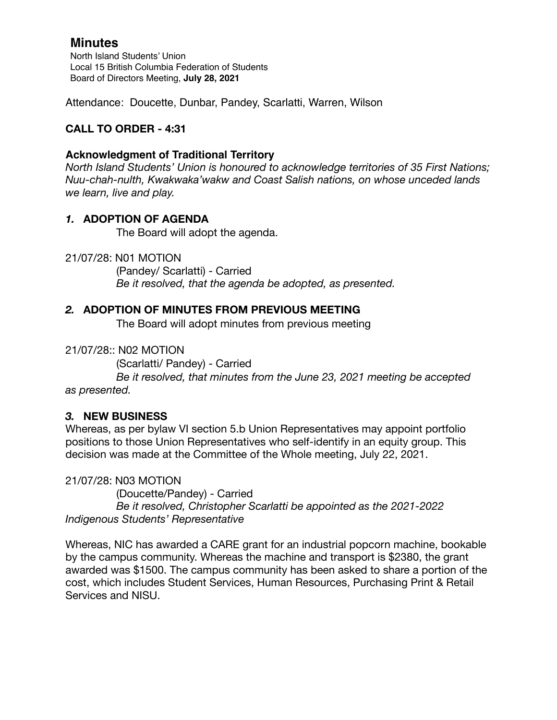## **Minutes**

North Island Students' Union Local 15 British Columbia Federation of Students Board of Directors Meeting, **July 28, 2021**

Attendance: Doucette, Dunbar, Pandey, Scarlatti, Warren, Wilson

## **CALL TO ORDER - 4:31**

#### **Acknowledgment of Traditional Territory**

*North Island Students' Union is honoured to acknowledge territories of 35 First Nations; Nuu-chah-nulth, Kwakwaka'wakw and Coast Salish nations, on whose unceded lands we learn, live and play.*

### *1.* **ADOPTION OF AGENDA**

The Board will adopt the agenda.

21/07/28: N01 MOTION

 (Pandey/ Scarlatti) - Carried *Be it resolved, that the agenda be adopted, as presented.* 

#### *2.* **ADOPTION OF MINUTES FROM PREVIOUS MEETING**

The Board will adopt minutes from previous meeting

21/07/28:: N02 MOTION

(Scarlatti/ Pandey) - Carried

 *Be it resolved, that minutes from the June 23, 2021 meeting be accepted as presented.* 

### *3.* **NEW BUSINESS**

Whereas, as per bylaw VI section 5.b Union Representatives may appoint portfolio positions to those Union Representatives who self-identify in an equity group. This decision was made at the Committee of the Whole meeting, July 22, 2021.

21/07/28: N03 MOTION (Doucette/Pandey) - Carried *Be it resolved, Christopher Scarlatti be appointed as the 2021-2022 Indigenous Students' Representative* 

Whereas, NIC has awarded a CARE grant for an industrial popcorn machine, bookable by the campus community. Whereas the machine and transport is \$2380, the grant awarded was \$1500. The campus community has been asked to share a portion of the cost, which includes Student Services, Human Resources, Purchasing Print & Retail Services and NISU.